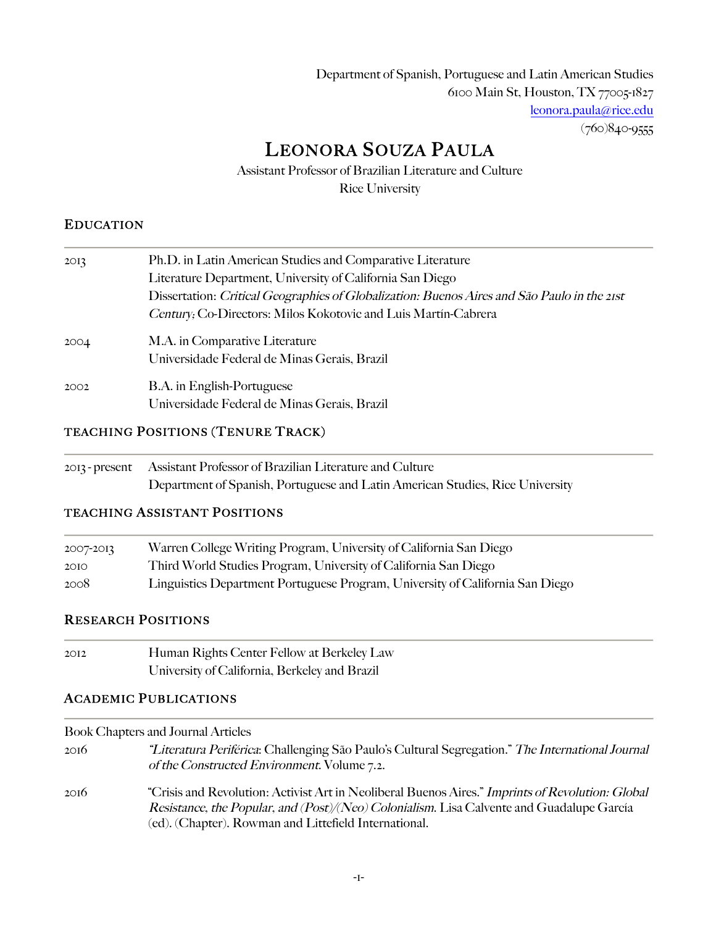Department of Spanish, Portuguese and Latin American Studies 6100 Main St, Houston, TX 77005-1827 leonora.paula@rice.edu (760)840-9555

# LEONORA SOUZA PAULA

Assistant Professor of Brazilian Literature and Culture Rice University

### EDUCATION

| 2OI <sub>3</sub> | Ph.D. in Latin American Studies and Comparative Literature                                  |
|------------------|---------------------------------------------------------------------------------------------|
|                  | Literature Department, University of California San Diego                                   |
|                  | Dissertation: Critical Geographies of Globalization: Buenos Aires and São Paulo in the 21st |
|                  | Century, Co-Directors: Milos Kokotovic and Luis Martín-Cabrera                              |
| 2004             | M.A. in Comparative Literature                                                              |
|                  | Universidade Federal de Minas Gerais, Brazil                                                |
| 2002             | <b>B.A.</b> in English-Portuguese                                                           |
|                  | Universidade Federal de Minas Gerais, Brazil                                                |

### TEACHING POSITIONS (TENURE TRACK)

| 2013 - present Assistant Professor of Brazilian Literature and Culture        |
|-------------------------------------------------------------------------------|
| Department of Spanish, Portuguese and Latin American Studies, Rice University |

### TEACHING ASSISTANT POSITIONS

| 2007-2013 | Warren College Writing Program, University of California San Diego            |
|-----------|-------------------------------------------------------------------------------|
| 2OIO      | Third World Studies Program, University of California San Diego               |
| 2008      | Linguistics Department Portuguese Program, University of California San Diego |

### RESEARCH POSITIONS

| 2OI2 | Human Rights Center Fellow at Berkeley Law    |
|------|-----------------------------------------------|
|      | University of California, Berkeley and Brazil |

### ACADEMIC PUBLICATIONS

Book Chapters and Journal Articles

- 2016 "Literatura Periférica: Challenging São Paulo's Cultural Segregation." The International Journal of the Constructed Environment. Volume 7.2.
- 2016 "Crisis and Revolution: Activist Art in Neoliberal Buenos Aires." Imprints of Revolution: Global Resistance, the Popular, and (Post)/(Neo) Colonialism. Lisa Calvente and Guadalupe García (ed). (Chapter). Rowman and Littefield International.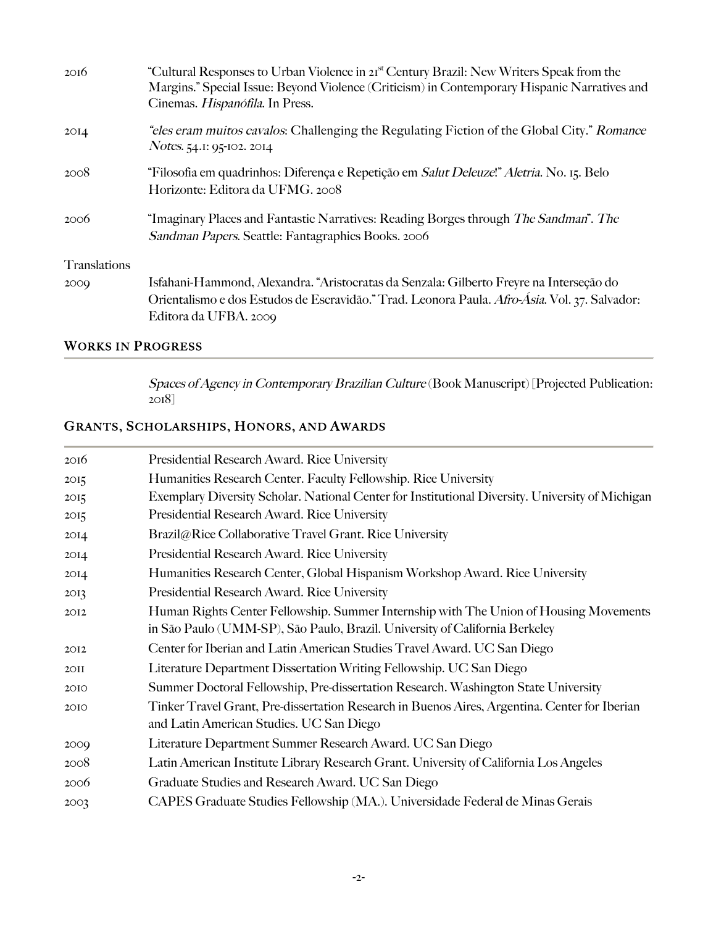| 20I6             | "Cultural Responses to Urban Violence in 21 <sup>st</sup> Century Brazil: New Writers Speak from the<br>Margins." Special Issue: Beyond Violence (Criticism) in Contemporary Hispanic Narratives and<br>Cinemas. Hispanófila. In Press. |
|------------------|-----------------------------------------------------------------------------------------------------------------------------------------------------------------------------------------------------------------------------------------|
| 2OI <sub>4</sub> | "eles eram muitos cavalos: Challenging the Regulating Fiction of the Global City." Romance<br>Notes. 54.1: 95-102. 2014                                                                                                                 |
| 2008             | "Filosofia em quadrinhos: Diferença e Repetição em <i>Salut Deleuze!" Aletria</i> . No. 15. Belo<br>Horizonte: Editora da UFMG. 2008                                                                                                    |
| 2006             | "Imaginary Places and Fantastic Narratives: Reading Borges through The Sandman". The<br>Sandman Papers. Seattle: Fantagraphics Books. 2006                                                                                              |
| Translations     |                                                                                                                                                                                                                                         |
| 2000             | Isfahani-Hammond, Alexandra. "Aristocratas da Senzala: Gilberto Freyre na Interseção do                                                                                                                                                 |
|                  | Orientalismo e dos Estudos de Escravidão." Trad. Leonora Paula. Afro-Ásia. Vol. 37. Salvador:                                                                                                                                           |
|                  | Editora da UFBA. 2009                                                                                                                                                                                                                   |

## WORKS IN PROGRESS

Spaces of Agency in Contemporary Brazilian Culture (Book Manuscript) [Projected Publication:  $2018$ ]

# GRANTS, SCHOLARSHIPS, HONORS, AND AWARDS

| 2016             | Presidential Research Award. Rice University                                                     |
|------------------|--------------------------------------------------------------------------------------------------|
| 2O <sub>15</sub> | Humanities Research Center. Faculty Fellowship. Rice University                                  |
| 2O <sub>15</sub> | Exemplary Diversity Scholar. National Center for Institutional Diversity. University of Michigan |
| 2O <sub>15</sub> | Presidential Research Award. Rice University                                                     |
| 2OI <sub>4</sub> | Brazil@Rice Collaborative Travel Grant. Rice University                                          |
| 2OI <sub>4</sub> | Presidential Research Award. Rice University                                                     |
| 2OI <sub>4</sub> | Humanities Research Center, Global Hispanism Workshop Award. Rice University                     |
| 2OI <sub>3</sub> | Presidential Research Award. Rice University                                                     |
| 2012             | Human Rights Center Fellowship. Summer Internship with The Union of Housing Movements            |
|                  | in São Paulo (UMM-SP), São Paulo, Brazil. University of California Berkeley                      |
| 2012             | Center for Iberian and Latin American Studies Travel Award. UC San Diego                         |
| 2OII             | Literature Department Dissertation Writing Fellowship. UC San Diego                              |
| 20IO             | Summer Doctoral Fellowship, Pre-dissertation Research. Washington State University               |
| 20IO             | Tinker Travel Grant, Pre-dissertation Research in Buenos Aires, Argentina. Center for Iberian    |
|                  | and Latin American Studies. UC San Diego                                                         |
| 2009             | Literature Department Summer Research Award. UC San Diego                                        |
| 2008             | Latin American Institute Library Research Grant. University of California Los Angeles            |
| 2006             | Graduate Studies and Research Award. UC San Diego                                                |
| 2003             | CAPES Graduate Studies Fellowship (MA.). Universidade Federal de Minas Gerais                    |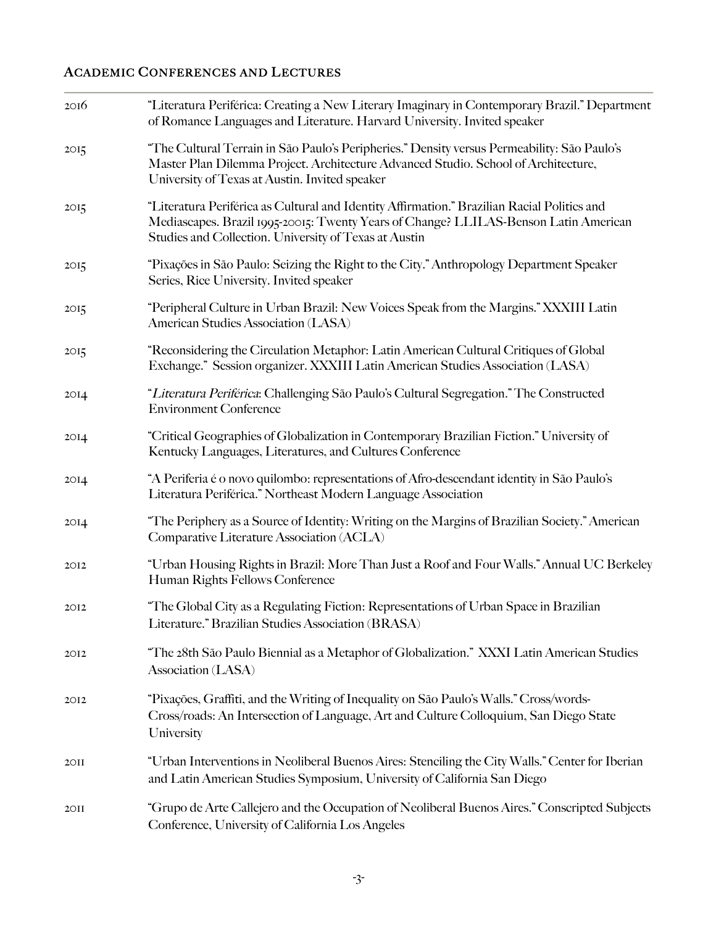### ACADEMIC CONFERENCES AND LECTURES

| 20I6             | "Literatura Periférica: Creating a New Literary Imaginary in Contemporary Brazil." Department<br>of Romance Languages and Literature. Harvard University. Invited speaker                                                                    |
|------------------|----------------------------------------------------------------------------------------------------------------------------------------------------------------------------------------------------------------------------------------------|
| 2O <sub>15</sub> | "The Cultural Terrain in São Paulo's Peripheries." Density versus Permeability: São Paulo's<br>Master Plan Dilemma Project. Architecture Advanced Studio. School of Architecture,<br>University of Texas at Austin. Invited speaker          |
| 2O <sub>15</sub> | "Literatura Periférica as Cultural and Identity Affirmation." Brazilian Racial Politics and<br>Mediascapes. Brazil 1995-20015: Twenty Years of Change? LLILAS-Benson Latin American<br>Studies and Collection. University of Texas at Austin |
| 2O <sub>15</sub> | "Pixações in São Paulo: Seizing the Right to the City." Anthropology Department Speaker<br>Series, Rice University. Invited speaker                                                                                                          |
| 2O <sub>15</sub> | "Peripheral Culture in Urban Brazil: New Voices Speak from the Margins." XXXIII Latin<br>American Studies Association (LASA)                                                                                                                 |
| 2O <sub>15</sub> | "Reconsidering the Circulation Metaphor: Latin American Cultural Critiques of Global<br>Exchange." Session organizer. XXXIII Latin American Studies Association (LASA)                                                                       |
| 2OI <sub>4</sub> | "Literatura Periférica: Challenging São Paulo's Cultural Segregation." The Constructed<br><b>Environment Conference</b>                                                                                                                      |
| 2OI <sub>4</sub> | "Critical Geographies of Globalization in Contemporary Brazilian Fiction." University of<br>Kentucky Languages, Literatures, and Cultures Conference                                                                                         |
| 2OI <sub>4</sub> | "A Periferia é o novo quilombo: representations of Afro-descendant identity in São Paulo's<br>Literatura Periférica." Northeast Modern Language Association                                                                                  |
| 2OI4             | "The Periphery as a Source of Identity: Writing on the Margins of Brazilian Society." American<br>Comparative Literature Association (ACLA)                                                                                                  |
| 2012             | "Urban Housing Rights in Brazil: More Than Just a Roof and Four Walls." Annual UC Berkeley<br>Human Rights Fellows Conference                                                                                                                |
| 2OI2             | "The Global City as a Regulating Fiction: Representations of Urban Space in Brazilian<br>Literature." Brazilian Studies Association (BRASA)                                                                                                  |
| 2012             | "The 28th São Paulo Biennial as a Metaphor of Globalization." XXXI Latin American Studies<br>Association (LASA)                                                                                                                              |
| 2012             | "Pixações, Graffiti, and the Writing of Inequality on São Paulo's Walls." Cross/words-<br>Cross/roads: An Intersection of Language, Art and Culture Colloquium, San Diego State<br>University                                                |
| 2OII             | "Urban Interventions in Neoliberal Buenos Aires: Stenciling the City Walls." Center for Iberian<br>and Latin American Studies Symposium, University of California San Diego                                                                  |
| 2OII             | "Grupo de Arte Callejero and the Occupation of Neoliberal Buenos Aires." Conscripted Subjects<br>Conference, University of California Los Angeles                                                                                            |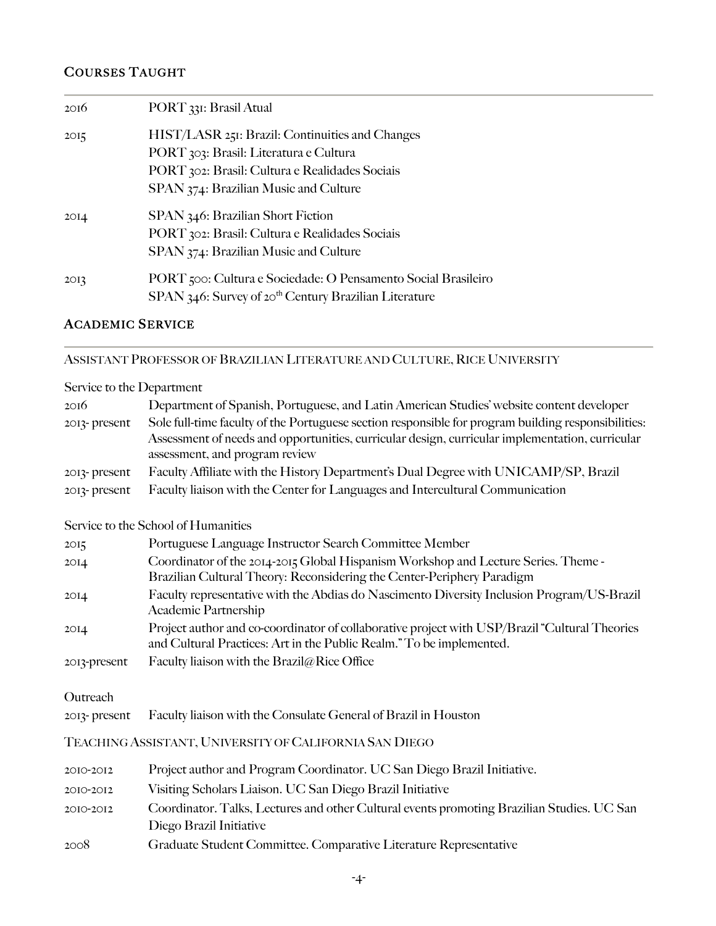### COURSES TAUGHT

| 20I6             | PORT 331: Brasil Atual                                            |
|------------------|-------------------------------------------------------------------|
| 2O <sub>15</sub> | HIST/LASR 251: Brazil: Continuities and Changes                   |
|                  | PORT 303: Brasil: Literatura e Cultura                            |
|                  | PORT 302: Brasil: Cultura e Realidades Sociais                    |
|                  | SPAN 374: Brazilian Music and Culture                             |
| 2OI <sub>4</sub> | SPAN 346: Brazilian Short Fiction                                 |
|                  | PORT 302: Brasil: Cultura e Realidades Sociais                    |
|                  | SPAN 374: Brazilian Music and Culture                             |
| 2O <sub>I</sub>  | PORT 500: Cultura e Sociedade: O Pensamento Social Brasileiro     |
|                  | SPAN 346: Survey of 20 <sup>th</sup> Century Brazilian Literature |

### ACADEMIC SERVICE

### ASSISTANT PROFESSOR OF BRAZILIAN LITERATURE AND CULTURE, RICE UNIVERSITY

### Service to the Department

| 2016         | Department of Spanish, Portuguese, and Latin American Studies' website content developer                                          |
|--------------|-----------------------------------------------------------------------------------------------------------------------------------|
| 2013-present | Sole full-time faculty of the Portuguese section responsible for program building responsibilities:                               |
|              | Assessment of needs and opportunities, curricular design, curricular implementation, curricular<br>assessment, and program review |
| 2013-present | Faculty Affiliate with the History Department's Dual Degree with UNICAMP/SP, Brazil                                               |
| 2013-present | Faculty liaison with the Center for Languages and Intercultural Communication                                                     |

### Service to the School of Humanities

| 2O <sub>15</sub> | Portuguese Language Instructor Search Committee Member                                                                                                                 |
|------------------|------------------------------------------------------------------------------------------------------------------------------------------------------------------------|
| 2OI <sub>4</sub> | Coordinator of the 2014-2015 Global Hispanism Workshop and Lecture Series. Theme-<br>Brazilian Cultural Theory: Reconsidering the Center-Periphery Paradigm            |
| 2OI <sub>4</sub> | Faculty representative with the Abdias do Nascimento Diversity Inclusion Program/US-Brazil<br>Academic Partnership                                                     |
| 2OI <sub>4</sub> | Project author and co-coordinator of collaborative project with USP/Brazil "Cultural Theories"<br>and Cultural Practices: Art in the Public Realm." To be implemented. |
| 2013-present     | Faculty liaison with the Brazil@Rice Office                                                                                                                            |

#### Outreach

2013- present Faculty liaison with the Consulate General of Brazil in Houston

### TEACHING ASSISTANT, UNIVERSITY OF CALIFORNIA SAN DIEGO

| 2010-2012 | Project author and Program Coordinator. UC San Diego Brazil Initiative.                    |
|-----------|--------------------------------------------------------------------------------------------|
| 2010-2012 | Visiting Scholars Liaison. UC San Diego Brazil Initiative                                  |
| 2010-2012 | Coordinator. Talks, Lectures and other Cultural events promoting Brazilian Studies. UC San |
|           | Diego Brazil Initiative                                                                    |
| 2008      | Graduate Student Committee. Comparative Literature Representative                          |